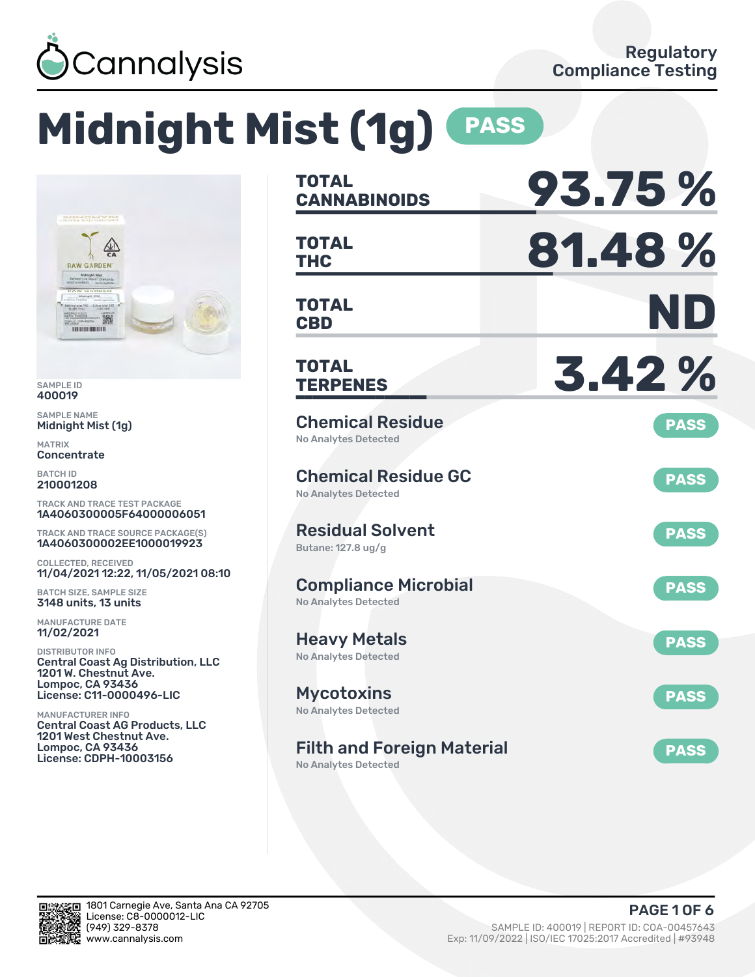

# **Midnight Mist (1g) PASS**



SAMPLE ID 400019

SAMPLE NAME Midnight Mist (1g)

MATRIX Concentrate

BATCH ID 210001208

TRACK AND TRACE TEST PACKAGE 1A4060300005F64000006051

TRACK AND TRACE SOURCE PACKAGE(S) 1A4060300002EE1000019923

COLLECTED, RECEIVED 11/04/2021 12:22, 11/05/2021 08:10

BATCH SIZE, SAMPLE SIZE 3148 units, 13 units

MANUFACTURE DATE 11/02/2021

DISTRIBUTOR INFO Central Coast Ag Distribution, LLC 1201 W. Chestnut Ave. Lompoc, CA 93436 License: C11-0000496-LIC

MANUFACTURER INFO Central Coast AG Products, LLC 1201 West Chestnut Ave. Lompoc, CA 93436 License: CDPH-10003156

| <b>TOTAL</b>                                                     | 93.75%      |
|------------------------------------------------------------------|-------------|
| <b>CANNABINOIDS</b>                                              |             |
| TOTAL                                                            | 81.48%      |
| <b>THC</b>                                                       |             |
| <b>TOTAL</b>                                                     | ND          |
| <b>CBD</b>                                                       |             |
| TOTAL<br><b>TERPENES</b>                                         | 3.42%       |
| <b>Chemical Residue</b><br>No Analytes Detected                  | <b>PASS</b> |
| <b>Chemical Residue GC</b><br>No Analytes Detected               | <b>PASS</b> |
| <b>Residual Solvent</b><br>Butane: 127.8 ug/g                    | <b>PASS</b> |
| <b>Compliance Microbial</b><br><b>No Analytes Detected</b>       | <b>PASS</b> |
| <b>Heavy Metals</b><br><b>No Analytes Detected</b>               | <b>PASS</b> |
| <b>Mycotoxins</b><br>No Analytes Detected                        | <b>PASS</b> |
| <b>Filth and Foreign Material</b><br><b>No Analytes Detected</b> | <b>PASS</b> |

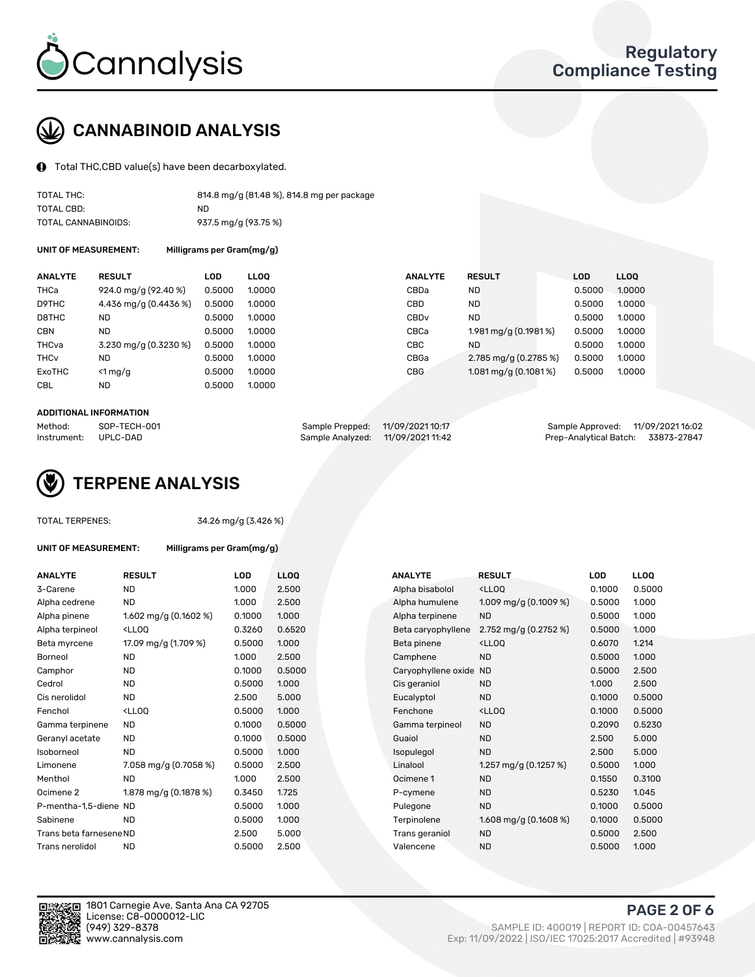

## CANNABINOID ANALYSIS

Total THC,CBD value(s) have been decarboxylated.

| TOTAL THC:          | 814.8 mg/g (81.48 %), 814.8 mg per package |
|---------------------|--------------------------------------------|
| TOTAL CBD:          | ND.                                        |
| TOTAL CANNABINOIDS: | 937.5 mg/g (93.75 %)                       |

UNIT OF MEASUREMENT: Milligrams per Gram(mg/g)

| <b>ANALYTE</b>         | <b>RESULT</b>         | LOD    | <b>LLOO</b> | <b>ANALYTE</b>   | <b>RESULT</b>                       | <b>LOD</b> | <b>LLOO</b> |
|------------------------|-----------------------|--------|-------------|------------------|-------------------------------------|------------|-------------|
| THCa                   | 924.0 mg/g (92.40 %)  | 0.5000 | 1.0000      | CBDa             | ND.                                 | 0.5000     | 1.0000      |
| D9THC                  | 4.436 mg/g (0.4436 %) | 0.5000 | 1.0000      | CBD              | <b>ND</b>                           | 0.5000     | 1.0000      |
| D8THC                  | <b>ND</b>             | 0.5000 | 1.0000      | CBD <sub>v</sub> | <b>ND</b>                           | 0.5000     | 1.0000      |
| <b>CBN</b>             | <b>ND</b>             | 0.5000 | 1.0000      | CBCa             | 1.981 mg/g (0.1981 %)               | 0.5000     | 1.0000      |
| THCva                  | 3.230 mg/g (0.3230 %) | 0.5000 | 1.0000      | CBC.             | ND                                  | 0.5000     | 1.0000      |
| <b>THC<sub>v</sub></b> | <b>ND</b>             | 0.5000 | 1.0000      | CBGa             | 2.785 mg/g (0.2785 %)               | 0.5000     | 1.0000      |
| ExoTHC                 | $<$ 1 mg/g            | 0.5000 | 1.0000      | <b>CBG</b>       | $1.081 \,\mathrm{mag/g}$ (0.1081 %) | 0.5000     | 1.0000      |
| CBL                    | <b>ND</b>             | 0.5000 | 1.0000      |                  |                                     |            |             |

#### ADDITIONAL INFORMATION

| Method:              | SOP-TECH-001 | Sample Prepped: 11/09/2021 10:17  | Sample Approved: 11/09/2021 16:02  |  |
|----------------------|--------------|-----------------------------------|------------------------------------|--|
| Instrument: UPLC-DAD |              | Sample Analyzed: 11/09/2021 11:42 | Prep-Analytical Batch: 33873-27847 |  |



TOTAL TERPENES: 34.26 mg/g (3.426 %)

| UNIT OF MEASUREMENT: | Milligrams per Gram(mg/g) |
|----------------------|---------------------------|
|----------------------|---------------------------|

| <b>ANALYTE</b>          | <b>RESULT</b>                                                                                                                                           | <b>LOD</b> | <b>LLOQ</b> | <b>ANALYTE</b>      | <b>RESULT</b>                                      | <b>LOD</b> | <b>LLOQ</b> |
|-------------------------|---------------------------------------------------------------------------------------------------------------------------------------------------------|------------|-------------|---------------------|----------------------------------------------------|------------|-------------|
| 3-Carene                | <b>ND</b>                                                                                                                                               | 1.000      | 2.500       | Alpha bisabolol     | <lloq< td=""><td>0.1000</td><td>0.500</td></lloq<> | 0.1000     | 0.500       |
| Alpha cedrene           | ND.                                                                                                                                                     | 1.000      | 2.500       | Alpha humulene      | 1.009 mg/g $(0.1009\%)$                            | 0.5000     | 1.000       |
| Alpha pinene            | 1.602 mg/g $(0.1602\%)$                                                                                                                                 | 0.1000     | 1.000       | Alpha terpinene     | <b>ND</b>                                          | 0.5000     | 1.000       |
| Alpha terpineol         | <lloq< td=""><td>0.3260</td><td>0.6520</td><td>Beta caryophyllene</td><td>2.752 mg/g <math>(0.2752 \%)</math></td><td>0.5000</td><td>1.000</td></lloq<> | 0.3260     | 0.6520      | Beta caryophyllene  | 2.752 mg/g $(0.2752 \%)$                           | 0.5000     | 1.000       |
| Beta myrcene            | 17.09 mg/g (1.709 %)                                                                                                                                    | 0.5000     | 1.000       | Beta pinene         | <lloq< td=""><td>0.6070</td><td>1.214</td></lloq<> | 0.6070     | 1.214       |
| Borneol                 | <b>ND</b>                                                                                                                                               | 1.000      | 2.500       | Camphene            | <b>ND</b>                                          | 0.5000     | 1.000       |
| Camphor                 | <b>ND</b>                                                                                                                                               | 0.1000     | 0.5000      | Caryophyllene oxide | <b>ND</b>                                          | 0.5000     | 2.500       |
| Cedrol                  | <b>ND</b>                                                                                                                                               | 0.5000     | 1.000       | Cis geraniol        | <b>ND</b>                                          | 1.000      | 2.500       |
| Cis nerolidol           | ND.                                                                                                                                                     | 2.500      | 5.000       | Eucalyptol          | <b>ND</b>                                          | 0.1000     | 0.500       |
| Fenchol                 | <lloq< td=""><td>0.5000</td><td>1.000</td><td>Fenchone</td><td><lloq< td=""><td>0.1000</td><td>0.500</td></lloq<></td></lloq<>                          | 0.5000     | 1.000       | Fenchone            | <lloq< td=""><td>0.1000</td><td>0.500</td></lloq<> | 0.1000     | 0.500       |
| Gamma terpinene         | ND.                                                                                                                                                     | 0.1000     | 0.5000      | Gamma terpineol     | <b>ND</b>                                          | 0.2090     | 0.523       |
| Geranyl acetate         | ND.                                                                                                                                                     | 0.1000     | 0.5000      | Guaiol              | <b>ND</b>                                          | 2.500      | 5.000       |
| Isoborneol              | ND.                                                                                                                                                     | 0.5000     | 1.000       | Isopulegol          | <b>ND</b>                                          | 2.500      | 5.000       |
| Limonene                | 7.058 mg/g (0.7058 %)                                                                                                                                   | 0.5000     | 2.500       | Linalool            | 1.257 mg/g $(0.1257%)$                             | 0.5000     | 1.000       |
| Menthol                 | ND.                                                                                                                                                     | 1.000      | 2.500       | Ocimene 1           | <b>ND</b>                                          | 0.1550     | 0.310       |
| Ocimene 2               | 1.878 mg/g (0.1878 %)                                                                                                                                   | 0.3450     | 1.725       | P-cymene            | <b>ND</b>                                          | 0.5230     | 1.045       |
| P-mentha-1,5-diene ND   |                                                                                                                                                         | 0.5000     | 1.000       | Pulegone            | <b>ND</b>                                          | 0.1000     | 0.500       |
| Sabinene                | <b>ND</b>                                                                                                                                               | 0.5000     | 1.000       | Terpinolene         | 1.608 mg/g $(0.1608\%)$                            | 0.1000     | 0.500       |
| Trans beta farnesene ND |                                                                                                                                                         | 2.500      | 5.000       | Trans geraniol      | <b>ND</b>                                          | 0.5000     | 2.500       |
| Trans nerolidol         | <b>ND</b>                                                                                                                                               | 0.5000     | 2.500       | Valencene           | <b>ND</b>                                          | 0.5000     | 1.000       |

| ANALYTE                 | <b>RESULT</b>                                                                                                                                           | <b>LOD</b> | <b>LLOQ</b> | <b>ANALYTE</b>         | <b>RESULT</b>                                       | <b>LOD</b> | <b>LLOQ</b> |
|-------------------------|---------------------------------------------------------------------------------------------------------------------------------------------------------|------------|-------------|------------------------|-----------------------------------------------------|------------|-------------|
| 3-Carene                | <b>ND</b>                                                                                                                                               | 1.000      | 2.500       | Alpha bisabolol        | <lloq< td=""><td>0.1000</td><td>0.5000</td></lloq<> | 0.1000     | 0.5000      |
| Alpha cedrene           | ND                                                                                                                                                      | 1.000      | 2.500       | Alpha humulene         | 1.009 mg/g $(0.1009\%)$                             | 0.5000     | 1.000       |
| Alpha pinene            | 1.602 mg/g $(0.1602 \%)$                                                                                                                                | 0.1000     | 1.000       | Alpha terpinene        | <b>ND</b>                                           | 0.5000     | 1.000       |
| Alpha terpineol         | <lloq< td=""><td>0.3260</td><td>0.6520</td><td>Beta caryophyllene</td><td>2.752 mg/g <math>(0.2752 \%)</math></td><td>0.5000</td><td>1.000</td></lloq<> | 0.3260     | 0.6520      | Beta caryophyllene     | 2.752 mg/g $(0.2752 \%)$                            | 0.5000     | 1.000       |
| Beta myrcene            | 17.09 mg/g (1.709 %)                                                                                                                                    | 0.5000     | 1.000       | Beta pinene            | <lloq< td=""><td>0.6070</td><td>1.214</td></lloq<>  | 0.6070     | 1.214       |
| Borneol                 | <b>ND</b>                                                                                                                                               | 1.000      | 2.500       | Camphene               | <b>ND</b>                                           | 0.5000     | 1.000       |
| Camphor                 | <b>ND</b>                                                                                                                                               | 0.1000     | 0.5000      | Caryophyllene oxide ND |                                                     | 0.5000     | 2.500       |
| Cedrol                  | <b>ND</b>                                                                                                                                               | 0.5000     | 1.000       | Cis geraniol           | <b>ND</b>                                           | 1.000      | 2.500       |
| Cis nerolidol           | <b>ND</b>                                                                                                                                               | 2.500      | 5.000       | Eucalyptol             | <b>ND</b>                                           | 0.1000     | 0.5000      |
| Fenchol                 | <lloq< td=""><td>0.5000</td><td>1.000</td><td>Fenchone</td><td><ll0q< td=""><td>0.1000</td><td>0.5000</td></ll0q<></td></lloq<>                         | 0.5000     | 1.000       | Fenchone               | <ll0q< td=""><td>0.1000</td><td>0.5000</td></ll0q<> | 0.1000     | 0.5000      |
| Gamma terpinene         | <b>ND</b>                                                                                                                                               | 0.1000     | 0.5000      | Gamma terpineol        | <b>ND</b>                                           | 0.2090     | 0.5230      |
| Geranyl acetate         | <b>ND</b>                                                                                                                                               | 0.1000     | 0.5000      | Guaiol                 | <b>ND</b>                                           | 2.500      | 5.000       |
| Isoborneol              | <b>ND</b>                                                                                                                                               | 0.5000     | 1.000       | Isopulegol             | <b>ND</b>                                           | 2.500      | 5.000       |
| Limonene                | 7.058 mg/g $(0.7058\%)$                                                                                                                                 | 0.5000     | 2.500       | Linalool               | 1.257 mg/g $(0.1257%)$                              | 0.5000     | 1.000       |
| Menthol                 | <b>ND</b>                                                                                                                                               | 1.000      | 2.500       | Ocimene 1              | <b>ND</b>                                           | 0.1550     | 0.3100      |
| Ocimene 2               | 1.878 mg/g $(0.1878%)$                                                                                                                                  | 0.3450     | 1.725       | P-cymene               | <b>ND</b>                                           | 0.5230     | 1.045       |
| P-mentha-1,5-diene ND   |                                                                                                                                                         | 0.5000     | 1.000       | Pulegone               | <b>ND</b>                                           | 0.1000     | 0.5000      |
| Sabinene                | <b>ND</b>                                                                                                                                               | 0.5000     | 1.000       | Terpinolene            | 1.608 mg/g $(0.1608\%)$                             | 0.1000     | 0.5000      |
| Trans beta farnesene ND |                                                                                                                                                         | 2.500      | 5.000       | Trans geraniol         | <b>ND</b>                                           | 0.5000     | 2.500       |
| Trans nerolidol         | <b>ND</b>                                                                                                                                               | 0.5000     | 2.500       | Valencene              | <b>ND</b>                                           | 0.5000     | 1.000       |



1801 Carnegie Ave, Santa Ana CA 92705 License: C8-0000012-LIC<br>(949) 329-8378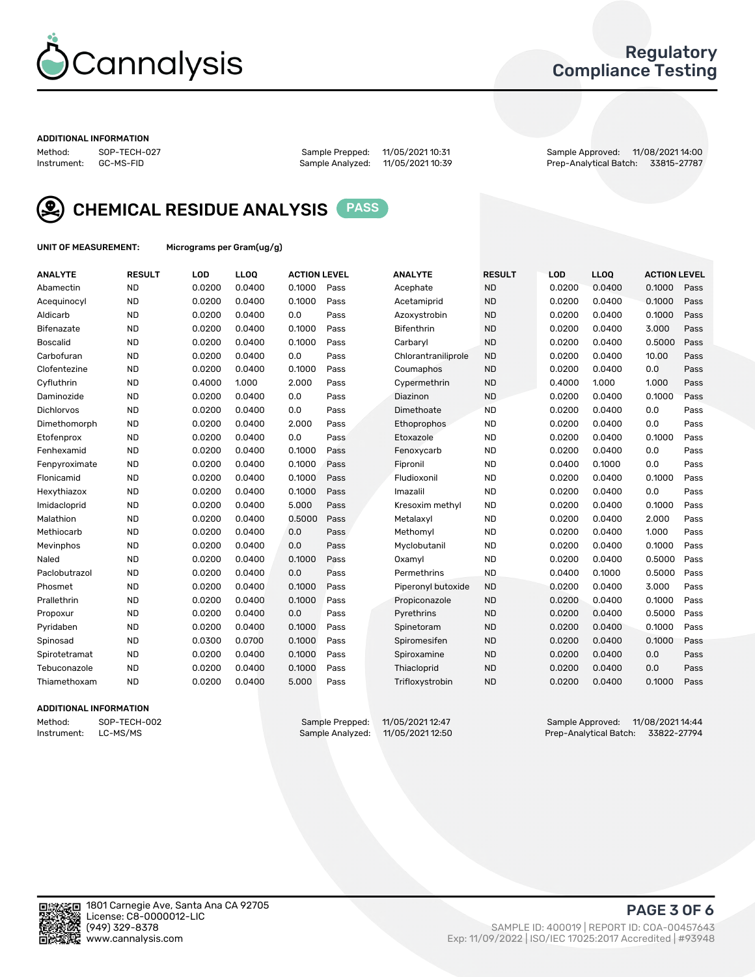

## Regulatory Compliance Testing

#### ADDITIONAL INFORMATION

Method: SOP-TECH-027 Sample Prepped: 11/05/2021 10:31 Sample Approved: 11/08/2021 14:00 Prep-Analytical Batch: 33815-27787



CHEMICAL RESIDUE ANALYSIS PASS

UNIT OF MEASUREMENT: Micrograms per Gram(ug/g)

| <b>ANALYTE</b>    | <b>RESULT</b> | LOD    | LL <sub>OO</sub> | <b>ACTION LEVEL</b> |      | <b>ANALYTE</b>      | <b>RESULT</b> | LOD    | <b>LLOQ</b> | <b>ACTION LEVEL</b> |      |
|-------------------|---------------|--------|------------------|---------------------|------|---------------------|---------------|--------|-------------|---------------------|------|
| Abamectin         | <b>ND</b>     | 0.0200 | 0.0400           | 0.1000              | Pass | Acephate            | <b>ND</b>     | 0.0200 | 0.0400      | 0.1000              | Pass |
| Acequinocyl       | <b>ND</b>     | 0.0200 | 0.0400           | 0.1000              | Pass | Acetamiprid         | <b>ND</b>     | 0.0200 | 0.0400      | 0.1000              | Pass |
| Aldicarb          | <b>ND</b>     | 0.0200 | 0.0400           | 0.0                 | Pass | Azoxystrobin        | <b>ND</b>     | 0.0200 | 0.0400      | 0.1000              | Pass |
| Bifenazate        | <b>ND</b>     | 0.0200 | 0.0400           | 0.1000              | Pass | <b>Bifenthrin</b>   | <b>ND</b>     | 0.0200 | 0.0400      | 3.000               | Pass |
| <b>Boscalid</b>   | <b>ND</b>     | 0.0200 | 0.0400           | 0.1000              | Pass | Carbaryl            | <b>ND</b>     | 0.0200 | 0.0400      | 0.5000              | Pass |
| Carbofuran        | <b>ND</b>     | 0.0200 | 0.0400           | 0.0                 | Pass | Chlorantraniliprole | <b>ND</b>     | 0.0200 | 0.0400      | 10.00               | Pass |
| Clofentezine      | <b>ND</b>     | 0.0200 | 0.0400           | 0.1000              | Pass | Coumaphos           | <b>ND</b>     | 0.0200 | 0.0400      | 0.0                 | Pass |
| Cyfluthrin        | <b>ND</b>     | 0.4000 | 1.000            | 2.000               | Pass | Cypermethrin        | <b>ND</b>     | 0.4000 | 1.000       | 1.000               | Pass |
| Daminozide        | <b>ND</b>     | 0.0200 | 0.0400           | 0.0                 | Pass | Diazinon            | <b>ND</b>     | 0.0200 | 0.0400      | 0.1000              | Pass |
| <b>Dichlorvos</b> | <b>ND</b>     | 0.0200 | 0.0400           | 0.0                 | Pass | Dimethoate          | <b>ND</b>     | 0.0200 | 0.0400      | 0.0                 | Pass |
| Dimethomorph      | <b>ND</b>     | 0.0200 | 0.0400           | 2.000               | Pass | Ethoprophos         | <b>ND</b>     | 0.0200 | 0.0400      | 0.0                 | Pass |
| Etofenprox        | <b>ND</b>     | 0.0200 | 0.0400           | 0.0                 | Pass | Etoxazole           | <b>ND</b>     | 0.0200 | 0.0400      | 0.1000              | Pass |
| Fenhexamid        | <b>ND</b>     | 0.0200 | 0.0400           | 0.1000              | Pass | Fenoxycarb          | <b>ND</b>     | 0.0200 | 0.0400      | 0.0                 | Pass |
| Fenpyroximate     | <b>ND</b>     | 0.0200 | 0.0400           | 0.1000              | Pass | Fipronil            | <b>ND</b>     | 0.0400 | 0.1000      | 0.0                 | Pass |
| Flonicamid        | <b>ND</b>     | 0.0200 | 0.0400           | 0.1000              | Pass | Fludioxonil         | <b>ND</b>     | 0.0200 | 0.0400      | 0.1000              | Pass |
| Hexythiazox       | <b>ND</b>     | 0.0200 | 0.0400           | 0.1000              | Pass | Imazalil            | <b>ND</b>     | 0.0200 | 0.0400      | 0.0                 | Pass |
| Imidacloprid      | <b>ND</b>     | 0.0200 | 0.0400           | 5.000               | Pass | Kresoxim methyl     | <b>ND</b>     | 0.0200 | 0.0400      | 0.1000              | Pass |
| Malathion         | <b>ND</b>     | 0.0200 | 0.0400           | 0.5000              | Pass | Metalaxyl           | <b>ND</b>     | 0.0200 | 0.0400      | 2.000               | Pass |
| Methiocarb        | <b>ND</b>     | 0.0200 | 0.0400           | 0.0                 | Pass | Methomyl            | <b>ND</b>     | 0.0200 | 0.0400      | 1.000               | Pass |
| Mevinphos         | <b>ND</b>     | 0.0200 | 0.0400           | 0.0                 | Pass | Myclobutanil        | <b>ND</b>     | 0.0200 | 0.0400      | 0.1000              | Pass |
| Naled             | <b>ND</b>     | 0.0200 | 0.0400           | 0.1000              | Pass | Oxamyl              | <b>ND</b>     | 0.0200 | 0.0400      | 0.5000              | Pass |
| Paclobutrazol     | <b>ND</b>     | 0.0200 | 0.0400           | 0.0                 | Pass | Permethrins         | <b>ND</b>     | 0.0400 | 0.1000      | 0.5000              | Pass |
| Phosmet           | <b>ND</b>     | 0.0200 | 0.0400           | 0.1000              | Pass | Piperonyl butoxide  | <b>ND</b>     | 0.0200 | 0.0400      | 3.000               | Pass |
| Prallethrin       | <b>ND</b>     | 0.0200 | 0.0400           | 0.1000              | Pass | Propiconazole       | <b>ND</b>     | 0.0200 | 0.0400      | 0.1000              | Pass |
| Propoxur          | <b>ND</b>     | 0.0200 | 0.0400           | 0.0                 | Pass | Pyrethrins          | <b>ND</b>     | 0.0200 | 0.0400      | 0.5000              | Pass |
| Pyridaben         | <b>ND</b>     | 0.0200 | 0.0400           | 0.1000              | Pass | Spinetoram          | <b>ND</b>     | 0.0200 | 0.0400      | 0.1000              | Pass |
| Spinosad          | <b>ND</b>     | 0.0300 | 0.0700           | 0.1000              | Pass | Spiromesifen        | <b>ND</b>     | 0.0200 | 0.0400      | 0.1000              | Pass |
| Spirotetramat     | <b>ND</b>     | 0.0200 | 0.0400           | 0.1000              | Pass | Spiroxamine         | <b>ND</b>     | 0.0200 | 0.0400      | 0.0                 | Pass |
| Tebuconazole      | <b>ND</b>     | 0.0200 | 0.0400           | 0.1000              | Pass | Thiacloprid         | <b>ND</b>     | 0.0200 | 0.0400      | 0.0                 | Pass |
| Thiamethoxam      | <b>ND</b>     | 0.0200 | 0.0400           | 5.000               | Pass | Trifloxystrobin     | <b>ND</b>     | 0.0200 | 0.0400      | 0.1000              | Pass |

### ADDITIONAL INFORMATION

Method: SOP-TECH-002 Sample Prepped: 11/05/2021 12:47<br>Instrument: LC-MS/MS Sample Analyzed: 11/05/2021 12:50 Prep-Analytical Batch: 33822-27794 Prep-Analytical Batch: 33822-27794

PAGE 3 OF 6

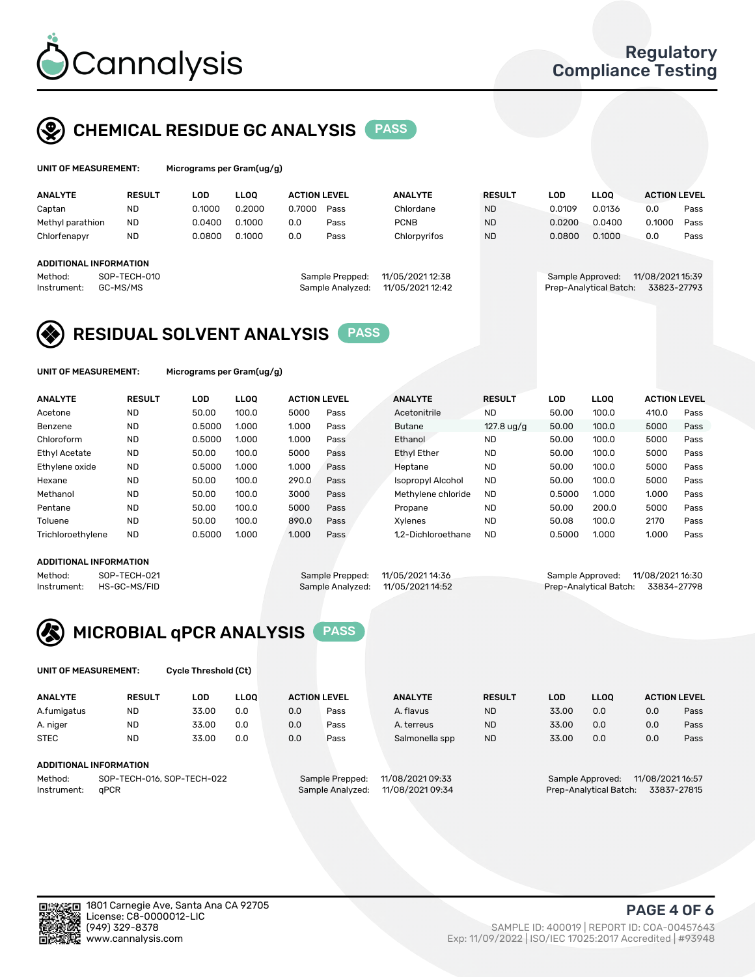

## CHEMICAL RESIDUE GC ANALYSIS PASS

| UNIT OF MEASUREMENT: |               | Micrograms per Gram $\left( \frac{uq}{q} \right)$ |             |                     |      |                |               |        |             |                     |      |
|----------------------|---------------|---------------------------------------------------|-------------|---------------------|------|----------------|---------------|--------|-------------|---------------------|------|
| <b>ANALYTE</b>       | <b>RESULT</b> | LOD                                               | <b>LLOO</b> | <b>ACTION LEVEL</b> |      | <b>ANALYTE</b> | <b>RESULT</b> | LOD    | <b>LLOO</b> | <b>ACTION LEVEL</b> |      |
| Captan               | <b>ND</b>     | 0.1000                                            | 0.2000      | 0.7000              | Pass | Chlordane      | <b>ND</b>     | 0.0109 | 0.0136      | 0.0                 | Pass |
| Methyl parathion     | <b>ND</b>     | 0.0400                                            | 0.100C      | 0.0                 | Pass | <b>PCNB</b>    | <b>ND</b>     | 0.0200 | 0.0400      | ን.1000              | Pass |

| Chlorfenapyr        | ND                     | 0.0800 | 0.1000 | 0.0 | Pass            | Chlorpyrifos    | <b>ND</b> | 0.0800           | 0.1000 | 0.0              | Pass |
|---------------------|------------------------|--------|--------|-----|-----------------|-----------------|-----------|------------------|--------|------------------|------|
|                     | ADDITIONAL INFORMATION |        |        |     |                 |                 |           |                  |        |                  |      |
| Method <sup>.</sup> | $SOP-TECH-010$         |        |        |     | Sample Prepped: | 11/05/202112.38 |           | Sample Approved: |        | 11/08/2021 15:39 |      |

| epped:  | 11/05/2021 12:38 |  |
|---------|------------------|--|
| alyzed: | 11/05/2021 12:42 |  |
|         |                  |  |

#### Sample Prepped: 11/05/2021 12:38 Sample Approved: 11/08/2021 15:39 Instrument: GC-MS/MS Sample Analyzed: 11/05/2021 12:42 Prep-Analytical Batch: 33823-27793

## RESIDUAL SOLVENT ANALYSIS PASS

UNIT OF MEASUREMENT: Micrograms per Gram(ug/g)

| <b>ANALYTE</b>       | <b>RESULT</b> | LOD    | <b>LLOO</b> | <b>ACTION LEVEL</b> |      | <b>ANALYTE</b>           | <b>RESULT</b>        | LOD    | LLOO  | <b>ACTION LEVEL</b> |      |
|----------------------|---------------|--------|-------------|---------------------|------|--------------------------|----------------------|--------|-------|---------------------|------|
| Acetone              | <b>ND</b>     | 50.00  | 100.0       | 5000                | Pass | Acetonitrile             | <b>ND</b>            | 50.00  | 100.0 | 410.0               | Pass |
| Benzene              | <b>ND</b>     | 0.5000 | 1.000       | 1.000               | Pass | <b>Butane</b>            | 127.8 $\frac{10}{9}$ | 50.00  | 100.0 | 5000                | Pass |
| Chloroform           | <b>ND</b>     | 0.5000 | 1.000       | 1.000               | Pass | Ethanol                  | <b>ND</b>            | 50.00  | 100.0 | 5000                | Pass |
| <b>Ethyl Acetate</b> | <b>ND</b>     | 50.00  | 100.0       | 5000                | Pass | <b>Ethyl Ether</b>       | <b>ND</b>            | 50.00  | 100.0 | 5000                | Pass |
| Ethylene oxide       | <b>ND</b>     | 0.5000 | 1.000       | 1.000               | Pass | Heptane                  | <b>ND</b>            | 50.00  | 100.0 | 5000                | Pass |
| Hexane               | <b>ND</b>     | 50.00  | 100.0       | 290.0               | Pass | <b>Isopropyl Alcohol</b> | <b>ND</b>            | 50.00  | 100.0 | 5000                | Pass |
| Methanol             | <b>ND</b>     | 50.00  | 100.0       | 3000                | Pass | Methylene chloride       | <b>ND</b>            | 0.5000 | 1.000 | 1.000               | Pass |
| Pentane              | <b>ND</b>     | 50.00  | 100.0       | 5000                | Pass | Propane                  | <b>ND</b>            | 50.00  | 200.0 | 5000                | Pass |
| Toluene              | <b>ND</b>     | 50.00  | 100.0       | 890.0               | Pass | Xvlenes                  | <b>ND</b>            | 50.08  | 100.0 | 2170                | Pass |
| Trichloroethylene    | <b>ND</b>     | 0.5000 | 1.000       | 1.000               | Pass | 1.2-Dichloroethane       | <b>ND</b>            | 0.5000 | 1.000 | 1.000               | Pass |

#### ADDITIONAL INFORMATION

| ADDITIONAL INFORMATION |              |                                   |                                    |  |
|------------------------|--------------|-----------------------------------|------------------------------------|--|
| Method:                | SOP-TECH-021 | Sample Prepped: 11/05/2021 14:36  | Sample Approved: 11/08/2021 16:30  |  |
| Instrument:            | HS-GC-MS/FID | Sample Analyzed: 11/05/2021 14:52 | Prep-Analytical Batch: 33834-27798 |  |

## MICROBIAL qPCR ANALYSIS PASS

UNIT OF MEASUREMENT: Cycle Threshold (Ct)

| <b>ANALYTE</b> | <b>RESULT</b>              | LOD   | <b>LLOO</b> |     | <b>ACTION LEVEL</b>                 | <b>ANALYTE</b> | <b>RESULT</b> | LOD              | <b>LLOO</b>      |     | <b>ACTION LEVEL</b> |
|----------------|----------------------------|-------|-------------|-----|-------------------------------------|----------------|---------------|------------------|------------------|-----|---------------------|
| A.fumigatus    | <b>ND</b>                  | 33.00 | 0.0         | 0.0 | Pass                                | A. flavus      | <b>ND</b>     | 33.00            | 0.0              | 0.0 | Pass                |
| A. niger       | <b>ND</b>                  | 33.00 | 0.0         | 0.0 | Pass                                | A. terreus     | <b>ND</b>     | 33.00            | 0.0              | 0.0 | Pass                |
| <b>STEC</b>    | <b>ND</b>                  | 33.00 | 0.0         | 0.0 | Pass                                | Salmonella spp | <b>ND</b>     | 33.00            | 0.0              | 0.0 | Pass                |
|                | ADDITIONAL INFORMATION     |       |             |     |                                     |                |               |                  |                  |     |                     |
| Method:        | SOP-TECH-016, SOP-TECH-022 |       |             |     | 11/08/2021 09:33<br>Sample Prepped: |                |               | Sample Approved: | 11/08/2021 16:57 |     |                     |

Instrument: qPCR Sample Analyzed: 11/08/2021 09:34 Prep-Analytical Batch: 33837-27815

PAGE 4 OF 6

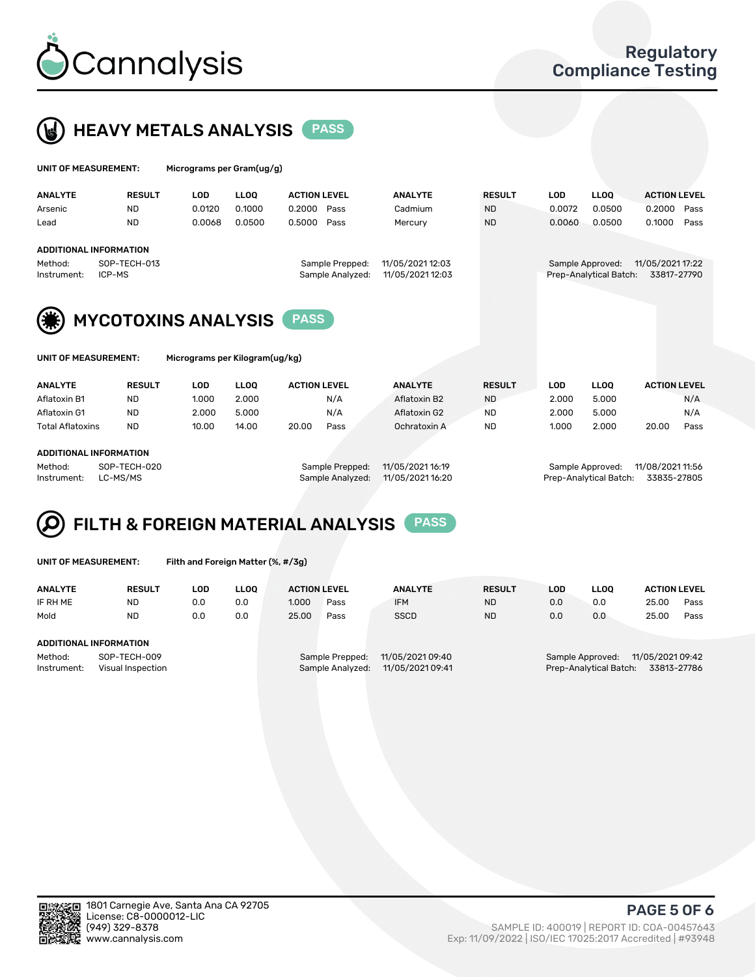



| UNIT OF MEASUREMENT:                                    |                        | Micrograms per Gram(ug/g)  |             |                                     |                                      |               |            |                                            |                                 |
|---------------------------------------------------------|------------------------|----------------------------|-------------|-------------------------------------|--------------------------------------|---------------|------------|--------------------------------------------|---------------------------------|
| <b>ANALYTE</b>                                          | <b>RESULT</b>          | <b>LOD</b>                 | <b>LLOO</b> | <b>ACTION LEVEL</b>                 | <b>ANALYTE</b>                       | <b>RESULT</b> | <b>LOD</b> | <b>LLOO</b>                                | <b>ACTION LEVEL</b>             |
| Arsenic                                                 | <b>ND</b>              | 0.0120                     | 0.1000      | 0.2000<br>Pass                      | Cadmium                              | <b>ND</b>     | 0.0072     | 0.0500                                     | 0.2000<br>Pass                  |
| Lead                                                    | <b>ND</b>              | 0.0068                     | 0.0500      | 0.5000<br>Pass                      | Mercury                              | <b>ND</b>     | 0.0060     | 0.0500                                     | 0.1000<br>Pass                  |
| <b>ADDITIONAL INFORMATION</b><br>Method:<br>Instrument: | SOP-TECH-013<br>ICP-MS |                            |             | Sample Prepped:<br>Sample Analyzed: | 11/05/2021 12:03<br>11/05/2021 12:03 |               |            | Sample Approved:<br>Prep-Analytical Batch: | 11/05/2021 17:22<br>33817-27790 |
|                                                         |                        | <b>MYCOTOXINS ANALYSIS</b> |             |                                     |                                      |               |            |                                            |                                 |

| <b>ANALYTE</b> | <b>RESULT</b> | LOD | LLOO | <b>ACTION LEVEL</b> | <b>ANALYTE</b> | <b>RESULT</b> | LOD | LLOO. | <b>ACTION LEVEL</b> |
|----------------|---------------|-----|------|---------------------|----------------|---------------|-----|-------|---------------------|

UNIT OF MEASUREMENT: Micrograms per Kilogram(ug/kg)

| .                      |              |       |       |                 |                  |           | ---   |                  |                  |      |
|------------------------|--------------|-------|-------|-----------------|------------------|-----------|-------|------------------|------------------|------|
| Aflatoxin B1           | <b>ND</b>    | 1.000 | 2.000 | N/A             | Aflatoxin B2     | <b>ND</b> | 2.000 | 5.000            |                  | N/A  |
| Aflatoxin G1           | <b>ND</b>    | 2.000 | 5.000 | N/A             | Aflatoxin G2     | <b>ND</b> | 2.000 | 5.000            |                  | N/A  |
| Total Aflatoxins       | <b>ND</b>    | 10.00 | 14.00 | 20.00<br>Pass   | Ochratoxin A     | <b>ND</b> | 1.000 | 2.000            | 20.00            | Pass |
| ADDITIONAL INFORMATION |              |       |       |                 |                  |           |       |                  |                  |      |
|                        |              |       |       |                 |                  |           |       |                  |                  |      |
| Method:                | SOP-TECH-020 |       |       | Sample Prepped: | 11/05/2021 16:19 |           |       | Sample Approved: | 11/08/2021 11:56 |      |
|                        |              |       |       |                 |                  |           |       |                  |                  |      |

Instrument: LC-MS/MS Sample Analyzed: 11/05/2021 16:20 Prep-Analytical Batch: 33835-27805

# FILTH & FOREIGN MATERIAL ANALYSIS PASS

UNIT OF MEASUREMENT: Filth and Foreign Matter (%, #/3g)

| <b>ANALYTE</b>                                              | <b>RESULT</b> | LOD | <b>LLOO</b> | <b>ACTION LEVEL</b> |                                     | <b>ANALYTE</b>                       | <b>RESULT</b> | LOD | LLOO                                       | <b>ACTION LEVEL</b>             |      |
|-------------------------------------------------------------|---------------|-----|-------------|---------------------|-------------------------------------|--------------------------------------|---------------|-----|--------------------------------------------|---------------------------------|------|
| IF RH ME                                                    | <b>ND</b>     | 0.0 | 0.0         | 1.000               | Pass                                | <b>IFM</b>                           | <b>ND</b>     | 0.0 | 0.0                                        | 25.00                           | Pass |
| Mold                                                        | <b>ND</b>     | 0.0 | 0.0         | 25.00               | Pass                                | <b>SSCD</b>                          | <b>ND</b>     | 0.0 | 0.0                                        | 25.00                           | Pass |
| ADDITIONAL INFORMATION                                      |               |     |             |                     |                                     |                                      |               |     |                                            |                                 |      |
| SOP-TECH-009<br>Method:<br>Instrument:<br>Visual Inspection |               |     |             |                     | Sample Prepped:<br>Sample Analyzed: | 11/05/2021 09:40<br>11/05/2021 09:41 |               |     | Sample Approved:<br>Prep-Analytical Batch: | 11/05/2021 09:42<br>33813-27786 |      |



PAGE 5 OF 6